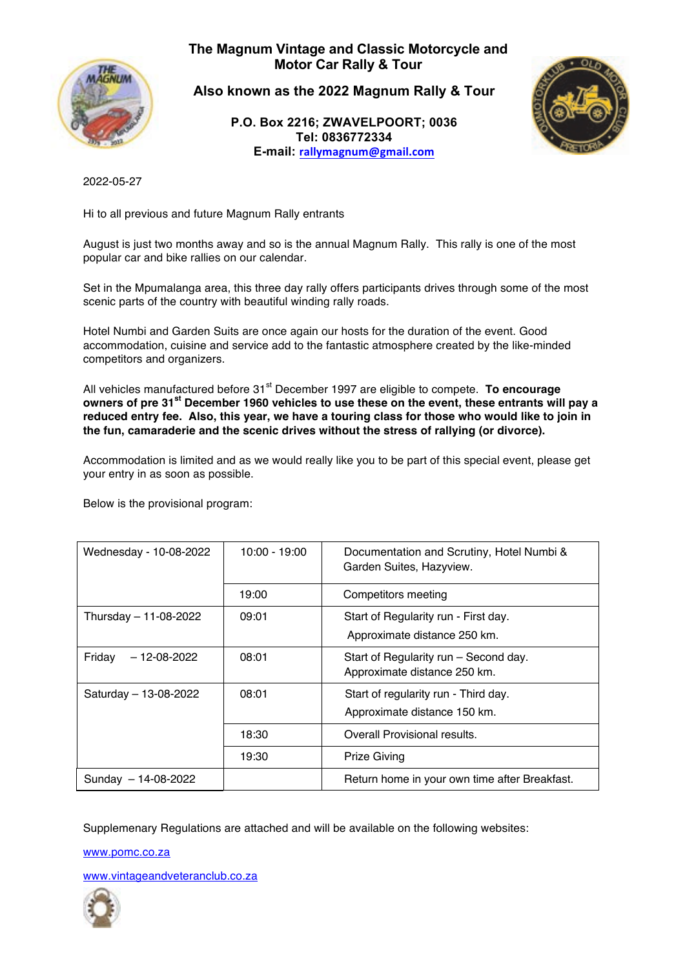

**The Magnum Vintage and Classic Motorcycle and Motor Car Rally & Tour**

**Also known as the 2022 Magnum Rally & Tour** 

**P.O. Box 2216; ZWAVELPOORT; 0036 Tel: 0836772334 E-mail: rallymagnum@gmail.com**



2022-05-27

Hi to all previous and future Magnum Rally entrants

August is just two months away and so is the annual Magnum Rally. This rally is one of the most popular car and bike rallies on our calendar.

Set in the Mpumalanga area, this three day rally offers participants drives through some of the most scenic parts of the country with beautiful winding rally roads.

Hotel Numbi and Garden Suits are once again our hosts for the duration of the event. Good accommodation, cuisine and service add to the fantastic atmosphere created by the like-minded competitors and organizers.

All vehicles manufactured before 31<sup>st</sup> December 1997 are eligible to compete. **To encourage owners of pre 31st December 1960 vehicles to use these on the event, these entrants will pay a reduced entry fee. Also, this year, we have a touring class for those who would like to join in the fun, camaraderie and the scenic drives without the stress of rallying (or divorce).**

Accommodation is limited and as we would really like you to be part of this special event, please get your entry in as soon as possible.

Below is the provisional program:

| Wednesday - 10-08-2022      | $10:00 - 19:00$ | Documentation and Scrutiny, Hotel Numbi &<br>Garden Suites, Hazyview. |
|-----------------------------|-----------------|-----------------------------------------------------------------------|
|                             | 19:00           | Competitors meeting                                                   |
| Thursday - 11-08-2022       | 09:01           | Start of Regularity run - First day.<br>Approximate distance 250 km.  |
| Fridav<br>$-12 - 08 - 2022$ | 08:01           | Start of Regularity run - Second day.<br>Approximate distance 250 km. |
| Saturday - 13-08-2022       | 08:01           | Start of regularity run - Third day.<br>Approximate distance 150 km.  |
|                             | 18:30           | Overall Provisional results.                                          |
|                             | 19:30           | <b>Prize Giving</b>                                                   |
| 14-08-2022<br>Sundav        |                 | Return home in your own time after Breakfast.                         |

Supplemenary Regulations are attached and will be available on the following websites:

www.pomc.co.za

www.vintageandveteranclub.co.za

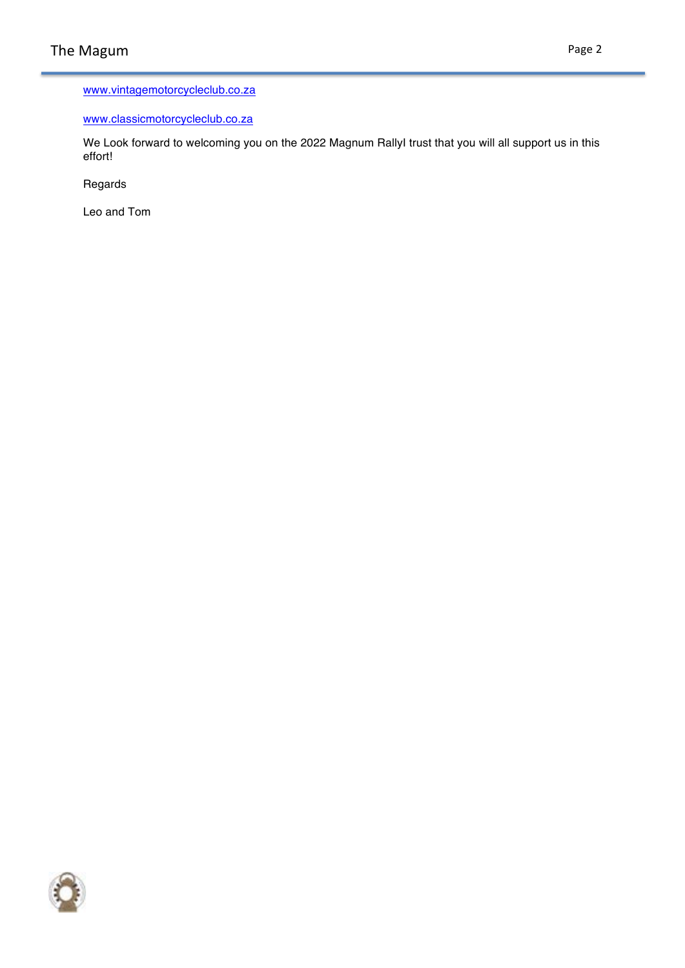## www.vintagemotorcycleclub.co.za

### www.classicmotorcycleclub.co.za

We Look forward to welcoming you on the 2022 Magnum RallyI trust that you will all support us in this effort!

Regards

Leo and Tom

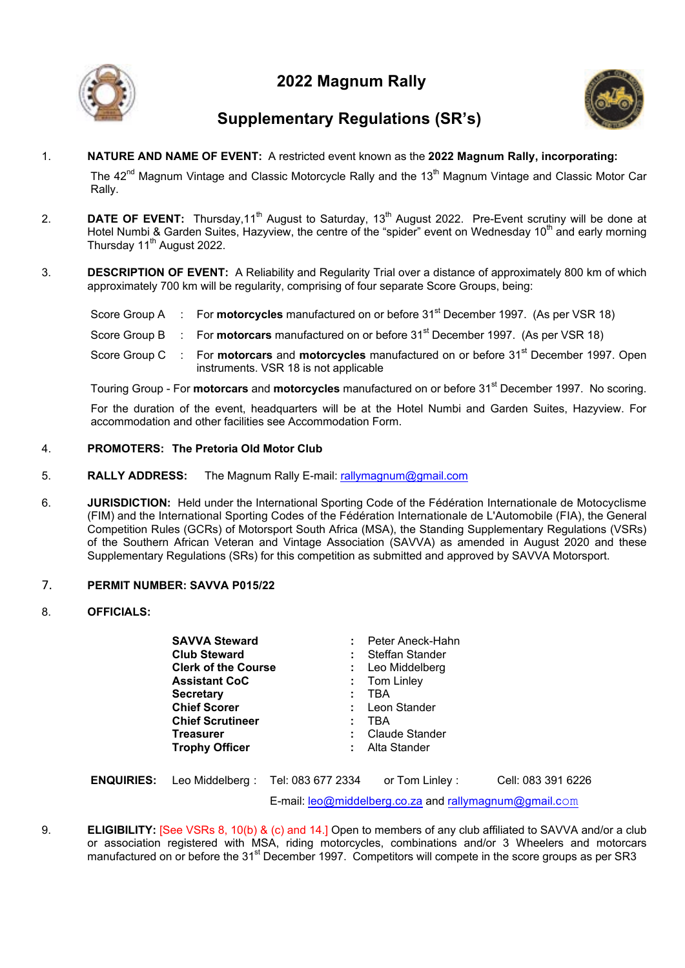



## **Supplementary Regulations (SR's)**

1. **NATURE AND NAME OF EVENT:** A restricted event known as the **2022 Magnum Rally, incorporating:**

The 42<sup>nd</sup> Magnum Vintage and Classic Motorcycle Rally and the 13<sup>th</sup> Magnum Vintage and Classic Motor Car Rally.

- 2. **DATE OF EVENT:** Thursday,11<sup>th</sup> August to Saturday, 13<sup>th</sup> August 2022. Pre-Event scrutiny will be done at Hotel Numbi & Garden Suites, Hazyview, the centre of the "spider" event on Wednesday 10<sup>th</sup> and early morning Thursday  $11<sup>th</sup>$  August 2022.
- 3. **DESCRIPTION OF EVENT:** A Reliability and Regularity Trial over a distance of approximately 800 km of which approximately 700 km will be regularity, comprising of four separate Score Groups, being:

Score Group A : For **motorcycles** manufactured on or before 31<sup>st</sup> December 1997. (As per VSR 18)

- Score Group B : For **motorcars** manufactured on or before 31<sup>st</sup> December 1997. (As per VSR 18)
- Score Group C : For **motorcars** and **motorcycles** manufactured on or before 31<sup>st</sup> December 1997. Open instruments. VSR 18 is not applicable

Touring Group - For **motorcars** and **motorcycles** manufactured on or before 31st December 1997. No scoring.

For the duration of the event, headquarters will be at the Hotel Numbi and Garden Suites, Hazyview. For accommodation and other facilities see Accommodation Form.

## 4. **PROMOTERS: The Pretoria Old Motor Club**

- 5. **RALLY ADDRESS:** The Magnum Rally E-mail: rallymagnum@gmail.com
- 6. **JURISDICTION:** Held under the International Sporting Code of the Fédération Internationale de Motocyclisme (FIM) and the International Sporting Codes of the Fédération Internationale de L'Automobile (FIA), the General Competition Rules (GCRs) of Motorsport South Africa (MSA), the Standing Supplementary Regulations (VSRs) of the Southern African Veteran and Vintage Association (SAVVA) as amended in August 2020 and these Supplementary Regulations (SRs) for this competition as submitted and approved by SAVVA Motorsport.

### 7. **PERMIT NUMBER: SAVVA P015/22**

### 8. **OFFICIALS:**

| <b>SAVVA Steward</b>       |                   | Peter Aneck-Hahn |                                                                  |  |
|----------------------------|-------------------|------------------|------------------------------------------------------------------|--|
| <b>Club Steward</b>        | : Steffan Stander |                  |                                                                  |  |
| <b>Clerk of the Course</b> |                   | : Leo Middelberg |                                                                  |  |
| <b>Assistant CoC</b>       |                   | Tom Linley       |                                                                  |  |
| <b>Secretary</b>           |                   | TBA              |                                                                  |  |
| <b>Chief Scorer</b>        |                   | Leon Stander     |                                                                  |  |
| <b>Chief Scrutineer</b>    |                   | TBA              |                                                                  |  |
| <b>Treasurer</b>           |                   | Claude Stander   |                                                                  |  |
| <b>Trophy Officer</b>      |                   | Alta Stander     |                                                                  |  |
|                            |                   |                  |                                                                  |  |
| .                          |                   | .                | $\sim$ $\cdots$ $\sim$ $\sim$ $\sim$ $\sim$ $\sim$ $\sim$ $\sim$ |  |

|  | <b>ENQUIRIES:</b> Leo Middelberg: Tel: 083 677 2334    | or Tom Linley : | Cell: 083 391 6226 |
|--|--------------------------------------------------------|-----------------|--------------------|
|  | E-mail: leo@middelberg.co.za and rallymagnum@gmail.com |                 |                    |

9. **ELIGIBILITY:** [See VSRs 8, 10(b) & (c) and 14.] Open to members of any club affiliated to SAVVA and/or a club or association registered with MSA, riding motorcycles, combinations and/or 3 Wheelers and motorcars manufactured on or before the 31<sup>st</sup> December 1997. Competitors will compete in the score groups as per SR3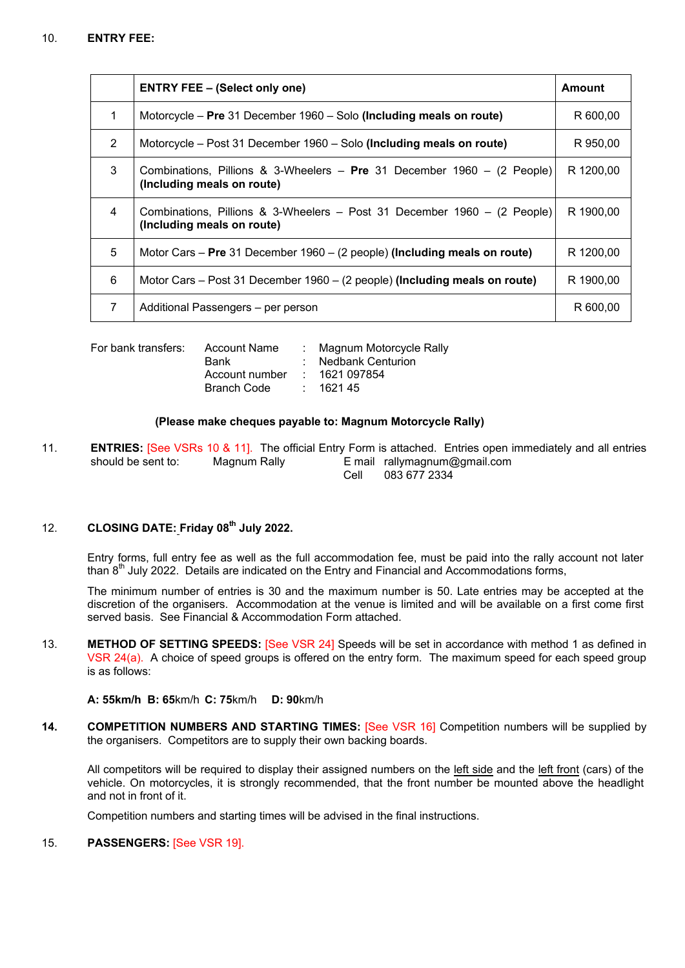|   | <b>ENTRY FEE - (Select only one)</b>                                                                   | Amount    |
|---|--------------------------------------------------------------------------------------------------------|-----------|
| 1 | Motorcycle - Pre 31 December 1960 - Solo (Including meals on route)                                    | R 600,00  |
| 2 | Motorcycle - Post 31 December 1960 - Solo (Including meals on route)                                   | R 950.00  |
| 3 | Combinations, Pillions & 3-Wheelers – Pre 31 December 1960 – (2 People)<br>(Including meals on route)  | R 1200.00 |
| 4 | Combinations, Pillions & 3-Wheelers – Post 31 December 1960 – (2 People)<br>(Including meals on route) | R 1900.00 |
| 5 | Motor Cars – Pre 31 December 1960 – (2 people) (Including meals on route)                              | R 1200.00 |
| 6 | Motor Cars – Post 31 December 1960 – (2 people) (Including meals on route)                             | R 1900.00 |
| 7 | Additional Passengers – per person                                                                     | R 600.00  |

| For bank transfers: | Account Name       | : Magnum Motorcycle Rally |
|---------------------|--------------------|---------------------------|
|                     | <b>Bank</b>        | : Nedbank Centurion       |
|                     | Account number     | : 1621 097854             |
|                     | <b>Branch Code</b> | : 162145                  |
|                     |                    |                           |

#### **(Please make cheques payable to: Magnum Motorcycle Rally)**

11. **ENTRIES:** [See VSRs 10 & 11]. The official Entry Form is attached. Entries open immediately and all entries should be sent to: Magnum Rally E mail rallymagnum@gmail.com Cell 083 677 2334

## 12. **CLOSING DATE: Friday 08th July 2022.**

Entry forms, full entry fee as well as the full accommodation fee, must be paid into the rally account not later than  $8<sup>th</sup>$  July 2022. Details are indicated on the Entry and Financial and Accommodations forms,

The minimum number of entries is 30 and the maximum number is 50. Late entries may be accepted at the discretion of the organisers. Accommodation at the venue is limited and will be available on a first come first served basis. See Financial & Accommodation Form attached.

13. **METHOD OF SETTING SPEEDS:** [See VSR 24] Speeds will be set in accordance with method 1 as defined in VSR 24(a). A choice of speed groups is offered on the entry form. The maximum speed for each speed group is as follows:

#### **A: 55km/h B: 65**km/h **C: 75**km/h **D: 90**km/h

**14. COMPETITION NUMBERS AND STARTING TIMES:** [See VSR 16] Competition numbers will be supplied by the organisers. Competitors are to supply their own backing boards.

All competitors will be required to display their assigned numbers on the left side and the left front (cars) of the vehicle. On motorcycles, it is strongly recommended, that the front number be mounted above the headlight and not in front of it.

Competition numbers and starting times will be advised in the final instructions.

### 15. **PASSENGERS:** [See VSR 19].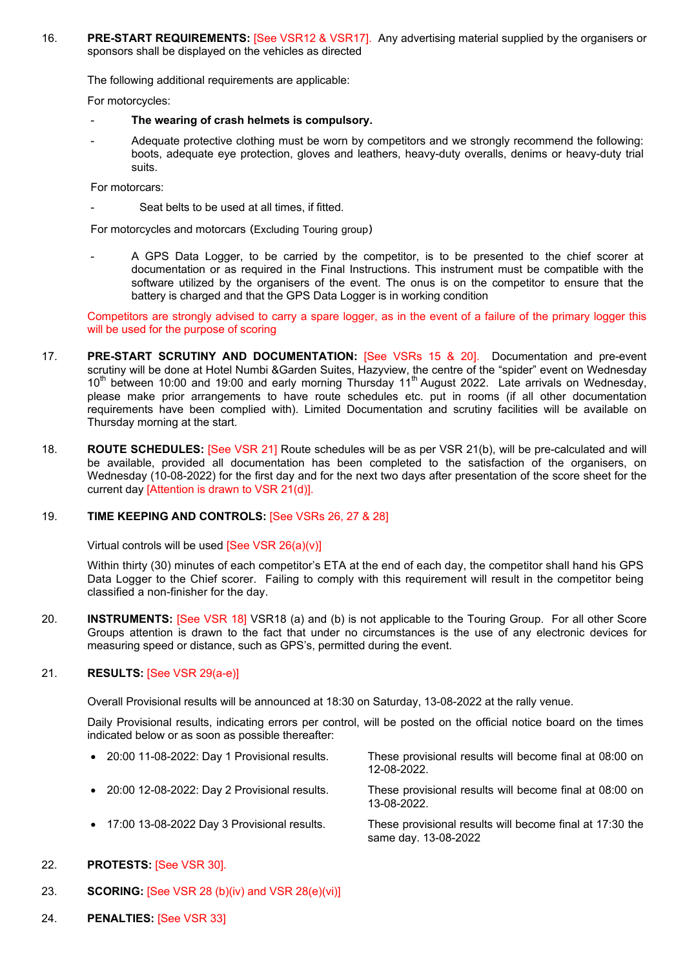16. **PRE-START REQUIREMENTS:** [See VSR12 & VSR17]. Any advertising material supplied by the organisers or sponsors shall be displayed on the vehicles as directed

The following additional requirements are applicable:

For motorcycles:

- **The wearing of crash helmets is compulsory.**
- Adequate protective clothing must be worn by competitors and we strongly recommend the following: boots, adequate eye protection, gloves and leathers, heavy-duty overalls, denims or heavy-duty trial suits.

For motorcars:

Seat belts to be used at all times, if fitted.

For motorcycles and motorcars (Excluding Touring group)

A GPS Data Logger, to be carried by the competitor, is to be presented to the chief scorer at documentation or as required in the Final Instructions. This instrument must be compatible with the software utilized by the organisers of the event. The onus is on the competitor to ensure that the battery is charged and that the GPS Data Logger is in working condition

Competitors are strongly advised to carry a spare logger, as in the event of a failure of the primary logger this will be used for the purpose of scoring

- 17. **PRE-START SCRUTINY AND DOCUMENTATION:** [See VSRs 15 & 20]. Documentation and pre-event scrutiny will be done at Hotel Numbi &Garden Suites, Hazyview, the centre of the "spider" event on Wednesday  $10<sup>th</sup>$  between 10:00 and 19:00 and early morning Thursday 11<sup>th</sup> August 2022. Late arrivals on Wednesday, please make prior arrangements to have route schedules etc. put in rooms (if all other documentation requirements have been complied with). Limited Documentation and scrutiny facilities will be available on Thursday morning at the start.
- 18. **ROUTE SCHEDULES:** [See VSR 21] Route schedules will be as per VSR 21(b), will be pre-calculated and will be available, provided all documentation has been completed to the satisfaction of the organisers, on Wednesday (10-08-2022) for the first day and for the next two days after presentation of the score sheet for the current day [Attention is drawn to VSR 21(d)].

### 19. **TIME KEEPING AND CONTROLS:** [See VSRs 26, 27 & 28]

Virtual controls will be used [See VSR 26(a)(v)]

Within thirty (30) minutes of each competitor's ETA at the end of each day, the competitor shall hand his GPS Data Logger to the Chief scorer. Failing to comply with this requirement will result in the competitor being classified a non-finisher for the day.

20. **INSTRUMENTS:** [See VSR 18] VSR18 (a) and (b) is not applicable to the Touring Group. For all other Score Groups attention is drawn to the fact that under no circumstances is the use of any electronic devices for measuring speed or distance, such as GPS's, permitted during the event.

### 21. **RESULTS:** [See VSR 29(a-e)]

Overall Provisional results will be announced at 18:30 on Saturday, 13-08-2022 at the rally venue.

Daily Provisional results, indicating errors per control, will be posted on the official notice board on the times indicated below or as soon as possible thereafter:

- 20:00 11-08-2022: Day 1 Provisional results. These provisional results will become final at 08:00 on 12-08-2022. • 20:00 12-08-2022: Day 2 Provisional results. These provisional results will become final at 08:00 on 13-08-2022. • 17:00 13-08-2022 Day 3 Provisional results. These provisional results will become final at 17:30 the same day. 13-08-2022
- 22. **PROTESTS:** [See VSR 30].
- 23. **SCORING:** [See VSR 28 (b)(iv) and VSR 28(e)(vi)]
- 24. **PENALTIES:** [See VSR 33]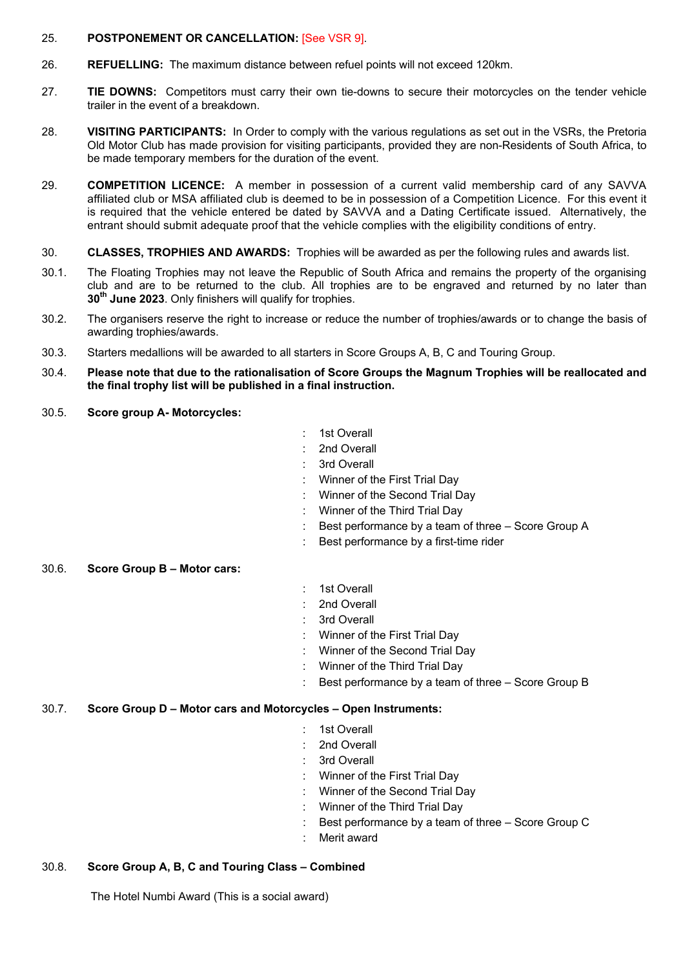### 25. **POSTPONEMENT OR CANCELLATION:** [See VSR 9].

- 26. **REFUELLING:** The maximum distance between refuel points will not exceed 120km.
- 27. **TIE DOWNS:** Competitors must carry their own tie-downs to secure their motorcycles on the tender vehicle trailer in the event of a breakdown.
- 28. **VISITING PARTICIPANTS:** In Order to comply with the various regulations as set out in the VSRs, the Pretoria Old Motor Club has made provision for visiting participants, provided they are non-Residents of South Africa, to be made temporary members for the duration of the event.
- 29. **COMPETITION LICENCE:** A member in possession of a current valid membership card of any SAVVA affiliated club or MSA affiliated club is deemed to be in possession of a Competition Licence. For this event it is required that the vehicle entered be dated by SAVVA and a Dating Certificate issued. Alternatively, the entrant should submit adequate proof that the vehicle complies with the eligibility conditions of entry.
- 30. **CLASSES, TROPHIES AND AWARDS:** Trophies will be awarded as per the following rules and awards list.
- 30.1. The Floating Trophies may not leave the Republic of South Africa and remains the property of the organising club and are to be returned to the club. All trophies are to be engraved and returned by no later than **30th June 2023**. Only finishers will qualify for trophies.
- 30.2. The organisers reserve the right to increase or reduce the number of trophies/awards or to change the basis of awarding trophies/awards.
- 30.3. Starters medallions will be awarded to all starters in Score Groups A, B, C and Touring Group.
- 30.4. **Please note that due to the rationalisation of Score Groups the Magnum Trophies will be reallocated and the final trophy list will be published in a final instruction.**
- 30.5. **Score group A- Motorcycles:**
- 1st Overall
- 2nd Overall
- : 3rd Overall
- : Winner of the First Trial Day
- : Winner of the Second Trial Day
- : Winner of the Third Trial Day
- : Best performance by a team of three Score Group A
- Best performance by a first-time rider

### 30.6. **Score Group B – Motor cars:**

- : 1st Overall
- 2nd Overall
- : 3rd Overall
- : Winner of the First Trial Day
- : Winner of the Second Trial Day
- : Winner of the Third Trial Day
- Best performance by a team of three Score Group B

### 30.7. **Score Group D – Motor cars and Motorcycles – Open Instruments:**

- 1st Overall
- : 2nd Overall
- : 3rd Overall
- : Winner of the First Trial Day
- : Winner of the Second Trial Day
- : Winner of the Third Trial Day
- : Best performance by a team of three Score Group C
- Merit award

### 30.8. **Score Group A, B, C and Touring Class – Combined**

The Hotel Numbi Award (This is a social award)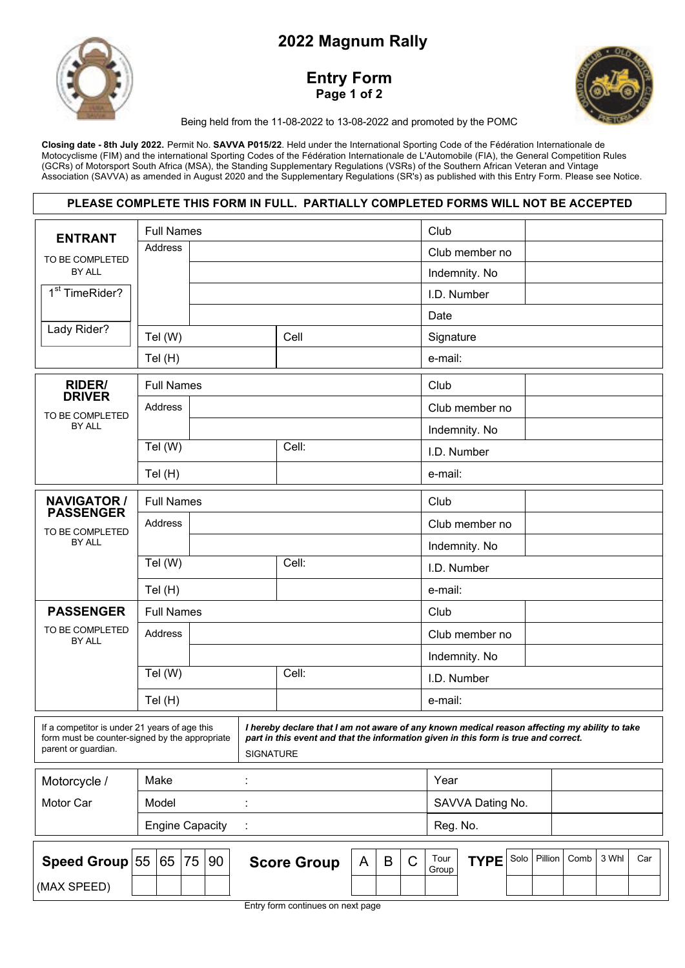

## **Entry Form Page 1 of 2**



Being held from the 11-08-2022 to 13-08-2022 and promoted by the POMC

Closing date - 8th July 2022. Permit No. SAVVA P015/22. Held under the International Sporting Code of the Fédération Internationale de Motocyclisme (FIM) and the international Sporting Codes of the Fédération Internationale de L'Automobile (FIA), the General Competition Rules (GCRs) of Motorsport South Africa (MSA), the Standing Supplementary Regulations (VSRs) of the Southern African Veteran and Vintage Association (SAVVA) as amended in August 2020 and the Supplementary Regulations (SR's) as published with this Entry Form. Please see Notice.

|                                                                                                                                                                                                                                                                                                                                    |                        |                   |    |    |  | PLEASE COMPLETE THIS FORM IN FULL. PARTIALLY COMPLETED FORMS WILL NOT BE ACCEPTED |   |          |                  |                |                |      |         |      |       |     |
|------------------------------------------------------------------------------------------------------------------------------------------------------------------------------------------------------------------------------------------------------------------------------------------------------------------------------------|------------------------|-------------------|----|----|--|-----------------------------------------------------------------------------------|---|----------|------------------|----------------|----------------|------|---------|------|-------|-----|
| <b>ENTRANT</b>                                                                                                                                                                                                                                                                                                                     |                        | <b>Full Names</b> |    |    |  |                                                                                   |   |          |                  | Club           |                |      |         |      |       |     |
| TO BE COMPLETED                                                                                                                                                                                                                                                                                                                    |                        | <b>Address</b>    |    |    |  |                                                                                   |   |          |                  |                | Club member no |      |         |      |       |     |
| BY ALL                                                                                                                                                                                                                                                                                                                             |                        |                   |    |    |  |                                                                                   |   |          |                  |                | Indemnity. No  |      |         |      |       |     |
| 1 <sup>st</sup> TimeRider?                                                                                                                                                                                                                                                                                                         |                        |                   |    |    |  |                                                                                   |   |          |                  |                | I.D. Number    |      |         |      |       |     |
|                                                                                                                                                                                                                                                                                                                                    |                        |                   |    |    |  |                                                                                   |   |          |                  | Date           |                |      |         |      |       |     |
| Lady Rider?                                                                                                                                                                                                                                                                                                                        |                        | Tel (W)           |    |    |  | Cell                                                                              |   |          |                  | Signature      |                |      |         |      |       |     |
|                                                                                                                                                                                                                                                                                                                                    |                        | Tel (H)           |    |    |  |                                                                                   |   |          |                  | e-mail:        |                |      |         |      |       |     |
| <b>RIDER/</b>                                                                                                                                                                                                                                                                                                                      |                        | <b>Full Names</b> |    |    |  |                                                                                   |   |          |                  | Club           |                |      |         |      |       |     |
| <b>DRIVER</b><br>TO BE COMPLETED                                                                                                                                                                                                                                                                                                   |                        | Address           |    |    |  |                                                                                   |   |          |                  |                | Club member no |      |         |      |       |     |
| BY ALL                                                                                                                                                                                                                                                                                                                             |                        |                   |    |    |  |                                                                                   |   |          |                  |                | Indemnity. No  |      |         |      |       |     |
|                                                                                                                                                                                                                                                                                                                                    |                        | Tel (W)           |    |    |  | Cell:                                                                             |   |          |                  |                | I.D. Number    |      |         |      |       |     |
|                                                                                                                                                                                                                                                                                                                                    |                        | Tel(H)            |    |    |  |                                                                                   |   |          |                  | e-mail:        |                |      |         |      |       |     |
| <b>NAVIGATOR /</b>                                                                                                                                                                                                                                                                                                                 |                        | <b>Full Names</b> |    |    |  |                                                                                   |   |          |                  | Club           |                |      |         |      |       |     |
| <b>PASSENGER</b>                                                                                                                                                                                                                                                                                                                   |                        | Address           |    |    |  |                                                                                   |   |          |                  | Club member no |                |      |         |      |       |     |
| TO BE COMPLETED<br>BY ALL                                                                                                                                                                                                                                                                                                          |                        |                   |    |    |  |                                                                                   |   |          |                  |                | Indemnity. No  |      |         |      |       |     |
|                                                                                                                                                                                                                                                                                                                                    |                        | Tel (W)           |    |    |  | Cell:                                                                             |   |          |                  | I.D. Number    |                |      |         |      |       |     |
|                                                                                                                                                                                                                                                                                                                                    |                        | Tel (H)           |    |    |  |                                                                                   |   |          |                  | e-mail:        |                |      |         |      |       |     |
| <b>PASSENGER</b>                                                                                                                                                                                                                                                                                                                   |                        | <b>Full Names</b> |    |    |  |                                                                                   |   |          |                  | Club           |                |      |         |      |       |     |
| TO BE COMPLETED<br>BY ALL                                                                                                                                                                                                                                                                                                          |                        | Address           |    |    |  |                                                                                   |   |          |                  |                | Club member no |      |         |      |       |     |
|                                                                                                                                                                                                                                                                                                                                    |                        |                   |    |    |  |                                                                                   |   |          |                  |                | Indemnity. No  |      |         |      |       |     |
|                                                                                                                                                                                                                                                                                                                                    |                        | Tel (W)           |    |    |  | Cell:                                                                             |   |          |                  |                | I.D. Number    |      |         |      |       |     |
|                                                                                                                                                                                                                                                                                                                                    |                        | Tel (H)           |    |    |  |                                                                                   |   |          |                  | e-mail:        |                |      |         |      |       |     |
| If a competitor is under 21 years of age this<br>I hereby declare that I am not aware of any known medical reason affecting my ability to take<br>form must be counter-signed by the appropriate<br>part in this event and that the information given in this form is true and correct.<br>parent or guardian.<br><b>SIGNATURE</b> |                        |                   |    |    |  |                                                                                   |   |          |                  |                |                |      |         |      |       |     |
| Motorcycle /                                                                                                                                                                                                                                                                                                                       |                        | Make              |    |    |  |                                                                                   |   |          |                  | Year           |                |      |         |      |       |     |
| Motor Car                                                                                                                                                                                                                                                                                                                          |                        | Model             |    |    |  |                                                                                   |   |          | SAVVA Dating No. |                |                |      |         |      |       |     |
|                                                                                                                                                                                                                                                                                                                                    | <b>Engine Capacity</b> |                   |    |    |  |                                                                                   |   | Reg. No. |                  |                |                |      |         |      |       |     |
|                                                                                                                                                                                                                                                                                                                                    |                        |                   |    |    |  |                                                                                   |   |          |                  |                |                |      |         |      |       |     |
| Speed Group 55                                                                                                                                                                                                                                                                                                                     |                        | 65                | 75 | 90 |  | <b>Score Group</b>                                                                | A | B        | C                | Tour<br>Group  | <b>TYPE</b>    | Solo | Pillion | Comb | 3 Whl | Car |
| (MAX SPEED)                                                                                                                                                                                                                                                                                                                        |                        |                   |    |    |  |                                                                                   |   |          |                  |                |                |      |         |      |       |     |

Entry form continues on next page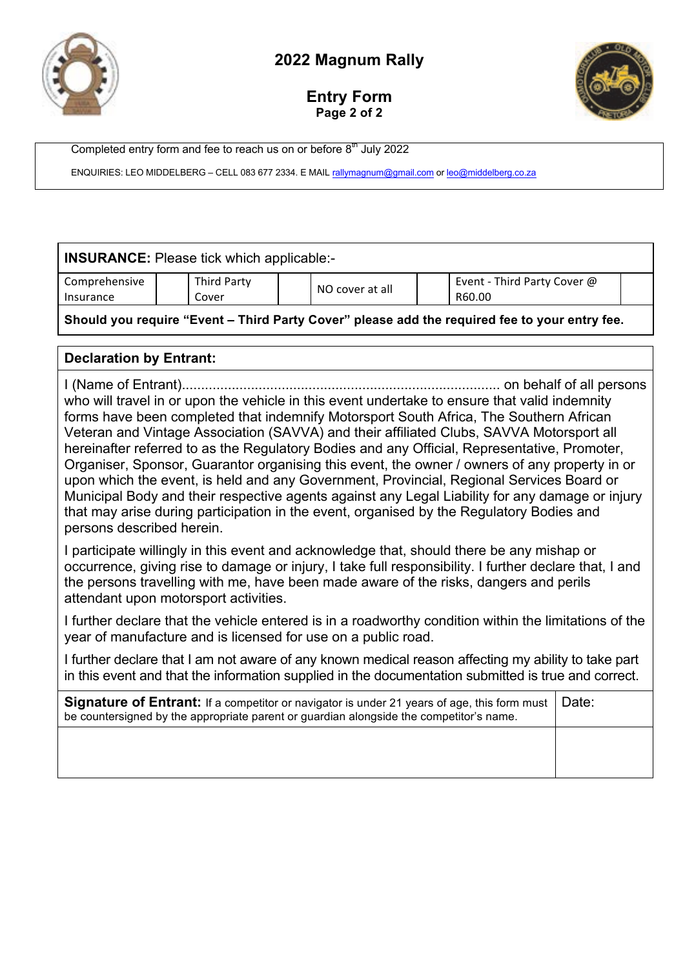

## **Entry Form Page 2 of 2**



Completed entry form and fee to reach us on or before 8<sup>th</sup> July 2022

ENQUIRIES: LEO MIDDELBERG - CELL 083 677 2334. E MAIL rallymagnum@gmail.com or leo@middelberg.co.za

|                            | <b>INSURANCE:</b> Please tick which applicable:-                                                                                                                                                                                                                                                                                      |  |                                                                                                                                                                                                                                                                                                                                                                                                                                                                                                                                                                                                                                                                                                                                                                                 |  |                                       |       |  |  |
|----------------------------|---------------------------------------------------------------------------------------------------------------------------------------------------------------------------------------------------------------------------------------------------------------------------------------------------------------------------------------|--|---------------------------------------------------------------------------------------------------------------------------------------------------------------------------------------------------------------------------------------------------------------------------------------------------------------------------------------------------------------------------------------------------------------------------------------------------------------------------------------------------------------------------------------------------------------------------------------------------------------------------------------------------------------------------------------------------------------------------------------------------------------------------------|--|---------------------------------------|-------|--|--|
| Comprehensive<br>Insurance | <b>Third Party</b><br>Cover                                                                                                                                                                                                                                                                                                           |  | NO cover at all                                                                                                                                                                                                                                                                                                                                                                                                                                                                                                                                                                                                                                                                                                                                                                 |  | Event - Third Party Cover @<br>R60.00 |       |  |  |
|                            |                                                                                                                                                                                                                                                                                                                                       |  | Should you require "Event - Third Party Cover" please add the required fee to your entry fee.                                                                                                                                                                                                                                                                                                                                                                                                                                                                                                                                                                                                                                                                                   |  |                                       |       |  |  |
|                            | <b>Declaration by Entrant:</b>                                                                                                                                                                                                                                                                                                        |  |                                                                                                                                                                                                                                                                                                                                                                                                                                                                                                                                                                                                                                                                                                                                                                                 |  |                                       |       |  |  |
| persons described herein.  |                                                                                                                                                                                                                                                                                                                                       |  | who will travel in or upon the vehicle in this event undertake to ensure that valid indemnity<br>forms have been completed that indemnify Motorsport South Africa, The Southern African<br>Veteran and Vintage Association (SAVVA) and their affiliated Clubs, SAVVA Motorsport all<br>hereinafter referred to as the Regulatory Bodies and any Official, Representative, Promoter,<br>Organiser, Sponsor, Guarantor organising this event, the owner / owners of any property in or<br>upon which the event, is held and any Government, Provincial, Regional Services Board or<br>Municipal Body and their respective agents against any Legal Liability for any damage or injury<br>that may arise during participation in the event, organised by the Regulatory Bodies and |  |                                       |       |  |  |
|                            | I participate willingly in this event and acknowledge that, should there be any mishap or<br>occurrence, giving rise to damage or injury, I take full responsibility. I further declare that, I and<br>the persons travelling with me, have been made aware of the risks, dangers and perils<br>attendant upon motorsport activities. |  |                                                                                                                                                                                                                                                                                                                                                                                                                                                                                                                                                                                                                                                                                                                                                                                 |  |                                       |       |  |  |
|                            | I further declare that the vehicle entered is in a roadworthy condition within the limitations of the<br>year of manufacture and is licensed for use on a public road.                                                                                                                                                                |  |                                                                                                                                                                                                                                                                                                                                                                                                                                                                                                                                                                                                                                                                                                                                                                                 |  |                                       |       |  |  |
|                            | I further declare that I am not aware of any known medical reason affecting my ability to take part<br>in this event and that the information supplied in the documentation submitted is true and correct.                                                                                                                            |  |                                                                                                                                                                                                                                                                                                                                                                                                                                                                                                                                                                                                                                                                                                                                                                                 |  |                                       |       |  |  |
|                            |                                                                                                                                                                                                                                                                                                                                       |  | <b>Signature of Entrant:</b> If a competitor or navigator is under 21 years of age, this form must<br>be countersigned by the appropriate parent or guardian alongside the competitor's name.                                                                                                                                                                                                                                                                                                                                                                                                                                                                                                                                                                                   |  |                                       | Date: |  |  |
|                            |                                                                                                                                                                                                                                                                                                                                       |  |                                                                                                                                                                                                                                                                                                                                                                                                                                                                                                                                                                                                                                                                                                                                                                                 |  |                                       |       |  |  |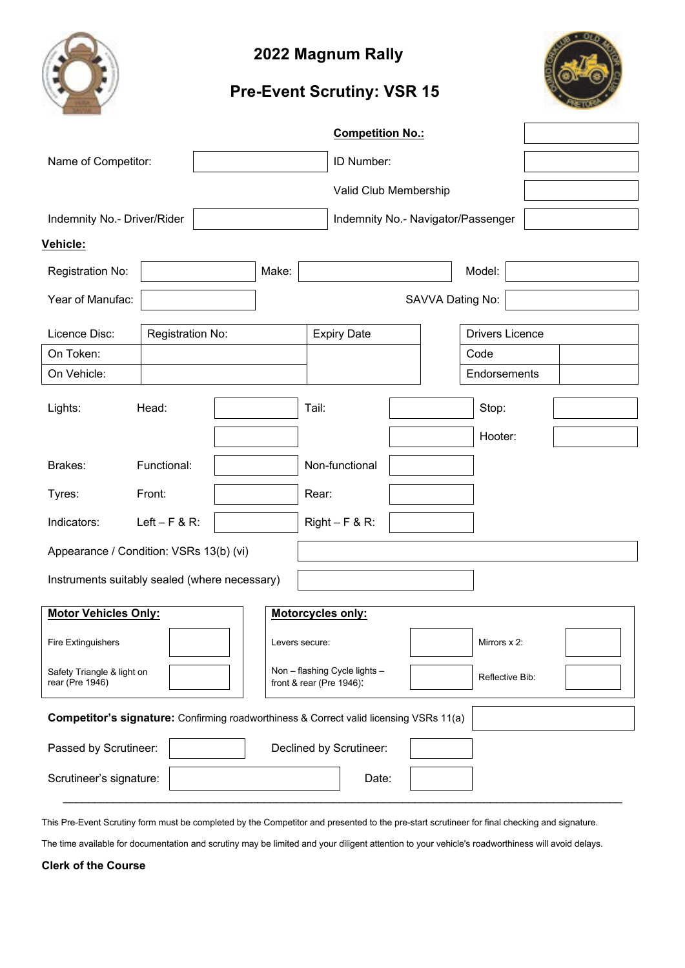

# **Pre-Event Scrutiny: VSR 15**



|                                                                                        |                                                                                                            |  |                |       | <b>Competition No.:</b> |                                    |                        |  |  |
|----------------------------------------------------------------------------------------|------------------------------------------------------------------------------------------------------------|--|----------------|-------|-------------------------|------------------------------------|------------------------|--|--|
| Name of Competitor:                                                                    |                                                                                                            |  |                |       | ID Number:              |                                    |                        |  |  |
|                                                                                        |                                                                                                            |  |                |       |                         | Valid Club Membership              |                        |  |  |
| Indemnity No.- Driver/Rider                                                            |                                                                                                            |  |                |       |                         | Indemnity No.- Navigator/Passenger |                        |  |  |
| <b>Vehicle:</b>                                                                        |                                                                                                            |  |                |       |                         |                                    |                        |  |  |
| Registration No:                                                                       |                                                                                                            |  | Make:          |       |                         |                                    | Model:                 |  |  |
| Year of Manufac:                                                                       |                                                                                                            |  |                |       |                         |                                    | SAVVA Dating No:       |  |  |
| Licence Disc:                                                                          | Registration No:                                                                                           |  |                |       | <b>Expiry Date</b>      |                                    | <b>Drivers Licence</b> |  |  |
| On Token:                                                                              |                                                                                                            |  |                |       |                         |                                    | Code                   |  |  |
| On Vehicle:                                                                            |                                                                                                            |  |                |       |                         |                                    | Endorsements           |  |  |
| Lights:                                                                                | Head:                                                                                                      |  |                | Tail: |                         |                                    | Stop:                  |  |  |
|                                                                                        |                                                                                                            |  |                |       |                         |                                    | Hooter:                |  |  |
| Brakes:                                                                                | Functional:                                                                                                |  |                |       | Non-functional          |                                    |                        |  |  |
| Tyres:                                                                                 | Front:                                                                                                     |  |                | Rear: |                         |                                    |                        |  |  |
| Indicators:                                                                            | Left $-$ F & R:                                                                                            |  |                |       | $Right - F & R$ :       |                                    |                        |  |  |
| Appearance / Condition: VSRs 13(b) (vi)                                                |                                                                                                            |  |                |       |                         |                                    |                        |  |  |
| Instruments suitably sealed (where necessary)                                          |                                                                                                            |  |                |       |                         |                                    |                        |  |  |
| <b>Motor Vehicles Only:</b>                                                            |                                                                                                            |  |                |       | Motorcycles only:       |                                    |                        |  |  |
| Fire Extinguishers                                                                     |                                                                                                            |  | Levers secure: |       |                         |                                    | Mirrors x 2:           |  |  |
| rear (Pre 1946)                                                                        | Non - flashing Cycle lights -<br>Safety Triangle & light on<br>Reflective Bib:<br>front & rear (Pre 1946): |  |                |       |                         |                                    |                        |  |  |
| Competitor's signature: Confirming roadworthiness & Correct valid licensing VSRs 11(a) |                                                                                                            |  |                |       |                         |                                    |                        |  |  |
| Passed by Scrutineer:                                                                  |                                                                                                            |  |                |       | Declined by Scrutineer: |                                    |                        |  |  |
| Scrutineer's signature:                                                                |                                                                                                            |  |                |       | Date:                   |                                    |                        |  |  |
|                                                                                        |                                                                                                            |  |                |       |                         |                                    |                        |  |  |

This Pre-Event Scrutiny form must be completed by the Competitor and presented to the pre-start scrutineer for final checking and signature.

The time available for documentation and scrutiny may be limited and your diligent attention to your vehicle's roadworthiness will avoid delays.

#### **Clerk of the Course**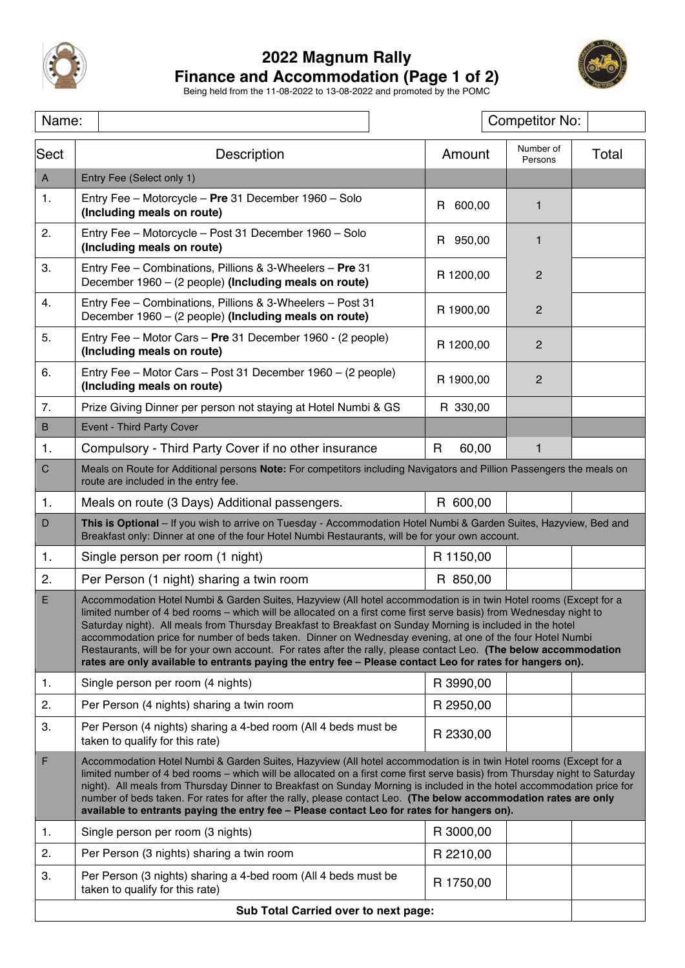

## **2022 Magnum Rally Finance and Accommodation (Page 1 of 2)**



Being held from the 11-08-2022 to 13-08-2022 and promoted by the POMC

| Name:                                                                                                                                                                                                                                                                                                                                                                                                                                                                                                                                                                                                      |                                                                                                                                                                                                                                                                                                                                                                                                                                                                                                                                                                                                                                                                                                       |            | <b>Competitor No:</b> |       |  |  |  |
|------------------------------------------------------------------------------------------------------------------------------------------------------------------------------------------------------------------------------------------------------------------------------------------------------------------------------------------------------------------------------------------------------------------------------------------------------------------------------------------------------------------------------------------------------------------------------------------------------------|-------------------------------------------------------------------------------------------------------------------------------------------------------------------------------------------------------------------------------------------------------------------------------------------------------------------------------------------------------------------------------------------------------------------------------------------------------------------------------------------------------------------------------------------------------------------------------------------------------------------------------------------------------------------------------------------------------|------------|-----------------------|-------|--|--|--|
| Sect                                                                                                                                                                                                                                                                                                                                                                                                                                                                                                                                                                                                       | Description                                                                                                                                                                                                                                                                                                                                                                                                                                                                                                                                                                                                                                                                                           | Amount     | Number of<br>Persons  | Total |  |  |  |
| $\mathsf{A}$                                                                                                                                                                                                                                                                                                                                                                                                                                                                                                                                                                                               | Entry Fee (Select only 1)                                                                                                                                                                                                                                                                                                                                                                                                                                                                                                                                                                                                                                                                             |            |                       |       |  |  |  |
| 1.                                                                                                                                                                                                                                                                                                                                                                                                                                                                                                                                                                                                         | Entry Fee - Motorcycle - Pre 31 December 1960 - Solo<br>(Including meals on route)                                                                                                                                                                                                                                                                                                                                                                                                                                                                                                                                                                                                                    | R 600,00   | $\mathbf{1}$          |       |  |  |  |
| 2.                                                                                                                                                                                                                                                                                                                                                                                                                                                                                                                                                                                                         | Entry Fee - Motorcycle - Post 31 December 1960 - Solo<br>(Including meals on route)                                                                                                                                                                                                                                                                                                                                                                                                                                                                                                                                                                                                                   | R 950,00   | $\mathbf{1}$          |       |  |  |  |
| 3.                                                                                                                                                                                                                                                                                                                                                                                                                                                                                                                                                                                                         | Entry Fee - Combinations, Pillions & 3-Wheelers - Pre 31<br>December 1960 - (2 people) (Including meals on route)                                                                                                                                                                                                                                                                                                                                                                                                                                                                                                                                                                                     | R 1200,00  | $\overline{2}$        |       |  |  |  |
| 4.                                                                                                                                                                                                                                                                                                                                                                                                                                                                                                                                                                                                         | Entry Fee - Combinations, Pillions & 3-Wheelers - Post 31<br>December 1960 - (2 people) (Including meals on route)                                                                                                                                                                                                                                                                                                                                                                                                                                                                                                                                                                                    | R 1900,00  | $\overline{c}$        |       |  |  |  |
| 5.                                                                                                                                                                                                                                                                                                                                                                                                                                                                                                                                                                                                         | Entry Fee - Motor Cars - Pre 31 December 1960 - (2 people)<br>(Including meals on route)                                                                                                                                                                                                                                                                                                                                                                                                                                                                                                                                                                                                              | R 1200,00  | $\overline{2}$        |       |  |  |  |
| 6.                                                                                                                                                                                                                                                                                                                                                                                                                                                                                                                                                                                                         | Entry Fee - Motor Cars - Post 31 December 1960 - (2 people)<br>(Including meals on route)                                                                                                                                                                                                                                                                                                                                                                                                                                                                                                                                                                                                             | R 1900,00  | $\overline{2}$        |       |  |  |  |
| 7.                                                                                                                                                                                                                                                                                                                                                                                                                                                                                                                                                                                                         | Prize Giving Dinner per person not staying at Hotel Numbi & GS                                                                                                                                                                                                                                                                                                                                                                                                                                                                                                                                                                                                                                        | R 330,00   |                       |       |  |  |  |
| $\sf B$                                                                                                                                                                                                                                                                                                                                                                                                                                                                                                                                                                                                    | <b>Event - Third Party Cover</b>                                                                                                                                                                                                                                                                                                                                                                                                                                                                                                                                                                                                                                                                      |            |                       |       |  |  |  |
| 1.                                                                                                                                                                                                                                                                                                                                                                                                                                                                                                                                                                                                         | Compulsory - Third Party Cover if no other insurance                                                                                                                                                                                                                                                                                                                                                                                                                                                                                                                                                                                                                                                  | R<br>60,00 | 1                     |       |  |  |  |
| $\mathsf C$                                                                                                                                                                                                                                                                                                                                                                                                                                                                                                                                                                                                | Meals on Route for Additional persons Note: For competitors including Navigators and Pillion Passengers the meals on<br>route are included in the entry fee.                                                                                                                                                                                                                                                                                                                                                                                                                                                                                                                                          |            |                       |       |  |  |  |
| 1.                                                                                                                                                                                                                                                                                                                                                                                                                                                                                                                                                                                                         | R 600,00<br>Meals on route (3 Days) Additional passengers.                                                                                                                                                                                                                                                                                                                                                                                                                                                                                                                                                                                                                                            |            |                       |       |  |  |  |
| D                                                                                                                                                                                                                                                                                                                                                                                                                                                                                                                                                                                                          | This is Optional - If you wish to arrive on Tuesday - Accommodation Hotel Numbi & Garden Suites, Hazyview, Bed and<br>Breakfast only: Dinner at one of the four Hotel Numbi Restaurants, will be for your own account.                                                                                                                                                                                                                                                                                                                                                                                                                                                                                |            |                       |       |  |  |  |
| 1.                                                                                                                                                                                                                                                                                                                                                                                                                                                                                                                                                                                                         | Single person per room (1 night)                                                                                                                                                                                                                                                                                                                                                                                                                                                                                                                                                                                                                                                                      | R 1150,00  |                       |       |  |  |  |
| 2.                                                                                                                                                                                                                                                                                                                                                                                                                                                                                                                                                                                                         | Per Person (1 night) sharing a twin room                                                                                                                                                                                                                                                                                                                                                                                                                                                                                                                                                                                                                                                              | R 850,00   |                       |       |  |  |  |
| E.                                                                                                                                                                                                                                                                                                                                                                                                                                                                                                                                                                                                         | Accommodation Hotel Numbi & Garden Suites, Hazyview (All hotel accommodation is in twin Hotel rooms (Except for a<br>limited number of 4 bed rooms - which will be allocated on a first come first serve basis) from Wednesday night to<br>Saturday night). All meals from Thursday Breakfast to Breakfast on Sunday Morning is included in the hotel<br>accommodation price for number of beds taken. Dinner on Wednesday evening, at one of the four Hotel Numbi<br>Restaurants, will be for your own account. For rates after the rally, please contact Leo. (The below accommodation<br>rates are only available to entrants paying the entry fee - Please contact Leo for rates for hangers on). |            |                       |       |  |  |  |
| 1.                                                                                                                                                                                                                                                                                                                                                                                                                                                                                                                                                                                                         | Single person per room (4 nights)                                                                                                                                                                                                                                                                                                                                                                                                                                                                                                                                                                                                                                                                     | R 3990,00  |                       |       |  |  |  |
| 2.                                                                                                                                                                                                                                                                                                                                                                                                                                                                                                                                                                                                         | Per Person (4 nights) sharing a twin room                                                                                                                                                                                                                                                                                                                                                                                                                                                                                                                                                                                                                                                             | R 2950,00  |                       |       |  |  |  |
| 3.                                                                                                                                                                                                                                                                                                                                                                                                                                                                                                                                                                                                         | Per Person (4 nights) sharing a 4-bed room (All 4 beds must be<br>taken to qualify for this rate)                                                                                                                                                                                                                                                                                                                                                                                                                                                                                                                                                                                                     | R 2330,00  |                       |       |  |  |  |
| $\mathsf F$<br>Accommodation Hotel Numbi & Garden Suites, Hazyview (All hotel accommodation is in twin Hotel rooms (Except for a<br>limited number of 4 bed rooms - which will be allocated on a first come first serve basis) from Thursday night to Saturday<br>night). All meals from Thursday Dinner to Breakfast on Sunday Morning is included in the hotel accommodation price for<br>number of beds taken. For rates for after the rally, please contact Leo. (The below accommodation rates are only<br>available to entrants paying the entry fee - Please contact Leo for rates for hangers on). |                                                                                                                                                                                                                                                                                                                                                                                                                                                                                                                                                                                                                                                                                                       |            |                       |       |  |  |  |
| 1.                                                                                                                                                                                                                                                                                                                                                                                                                                                                                                                                                                                                         | Single person per room (3 nights)                                                                                                                                                                                                                                                                                                                                                                                                                                                                                                                                                                                                                                                                     | R 3000,00  |                       |       |  |  |  |
| 2.                                                                                                                                                                                                                                                                                                                                                                                                                                                                                                                                                                                                         | Per Person (3 nights) sharing a twin room                                                                                                                                                                                                                                                                                                                                                                                                                                                                                                                                                                                                                                                             | R 2210,00  |                       |       |  |  |  |
| 3.                                                                                                                                                                                                                                                                                                                                                                                                                                                                                                                                                                                                         | Per Person (3 nights) sharing a 4-bed room (All 4 beds must be<br>taken to qualify for this rate)                                                                                                                                                                                                                                                                                                                                                                                                                                                                                                                                                                                                     | R 1750,00  |                       |       |  |  |  |
| Sub Total Carried over to next page:                                                                                                                                                                                                                                                                                                                                                                                                                                                                                                                                                                       |                                                                                                                                                                                                                                                                                                                                                                                                                                                                                                                                                                                                                                                                                                       |            |                       |       |  |  |  |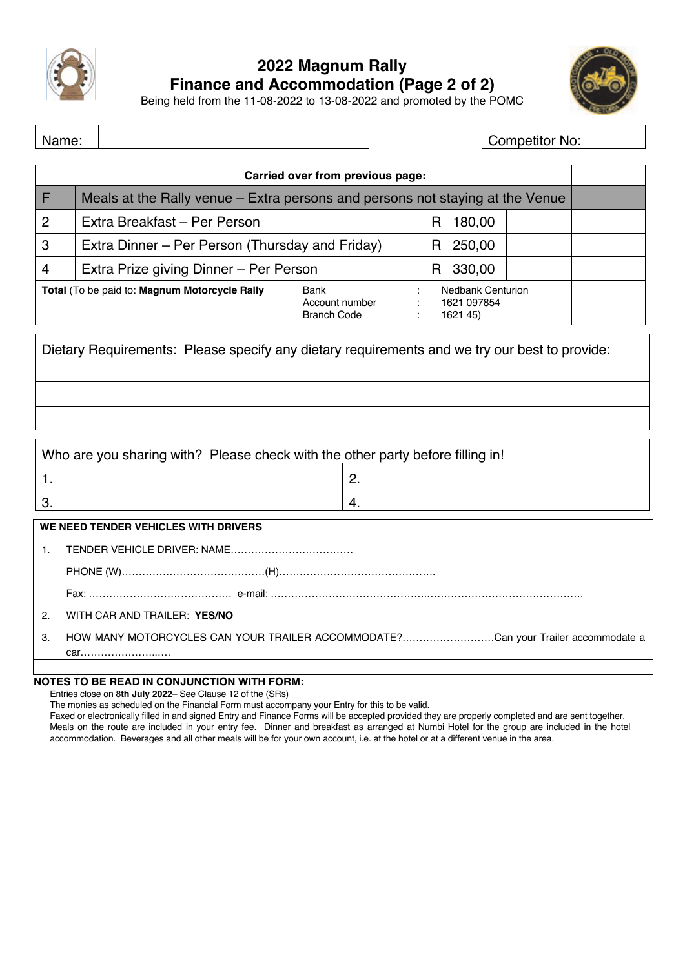

# **2022 Magnum Rally Finance and Accommodation (Page 2 of 2)**



Being held from the 11-08-2022 to 13-08-2022 and promoted by the POMC

Name: Name: Name: Name: No: 2012 12:00 Name: No: 2012 12:00 No: 2012 12:00 No: 2012 12:00 No: 2012 12:00 No: 20

| Carried over from previous page: |                                                                               |                                              |                                                     |  |  |  |  |
|----------------------------------|-------------------------------------------------------------------------------|----------------------------------------------|-----------------------------------------------------|--|--|--|--|
| F                                | Meals at the Rally venue – Extra persons and persons not staying at the Venue |                                              |                                                     |  |  |  |  |
| $\overline{2}$                   | Extra Breakfast - Per Person                                                  | 180,00<br>R                                  |                                                     |  |  |  |  |
| 3                                | Extra Dinner – Per Person (Thursday and Friday)                               | 250,00<br>н                                  |                                                     |  |  |  |  |
| $\overline{4}$                   | Extra Prize giving Dinner - Per Person                                        | 330,00<br>R                                  |                                                     |  |  |  |  |
|                                  | Total (To be paid to: Magnum Motorcycle Rally                                 | Bank<br>Account number<br><b>Branch Code</b> | <b>Nedbank Centurion</b><br>1621 097854<br>1621 45) |  |  |  |  |

Dietary Requirements: Please specify any dietary requirements and we try our best to provide:

# Who are you sharing with? Please check with the other party before filling in! 1.  $\vert$  2.  $3.$  4. **WE NEED TENDER VEHICLES WITH DRIVERS** 1. TENDER VEHICLE DRIVER: NAME……………………………… PHONE (W)……………………………………(H)………………………………………. Fax: …………………………………… e-mail: ……………………………………….………………………………………. 2. WITH CAR AND TRAILER: **YES/NO** 3. HOW MANY MOTORCYCLES CAN YOUR TRAILER ACCOMMODATE?………………………Can your Trailer accommodate a car…………………..….

### **NOTES TO BE READ IN CONJUNCTION WITH FORM:**

Entries close on 8**th July 2022**– See Clause 12 of the (SRs)

The monies as scheduled on the Financial Form must accompany your Entry for this to be valid.

Faxed or electronically filled in and signed Entry and Finance Forms will be accepted provided they are properly completed and are sent together. Meals on the route are included in your entry fee. Dinner and breakfast as arranged at Numbi Hotel for the group are included in the hotel accommodation. Beverages and all other meals will be for your own account, i.e. at the hotel or at a different venue in the area.